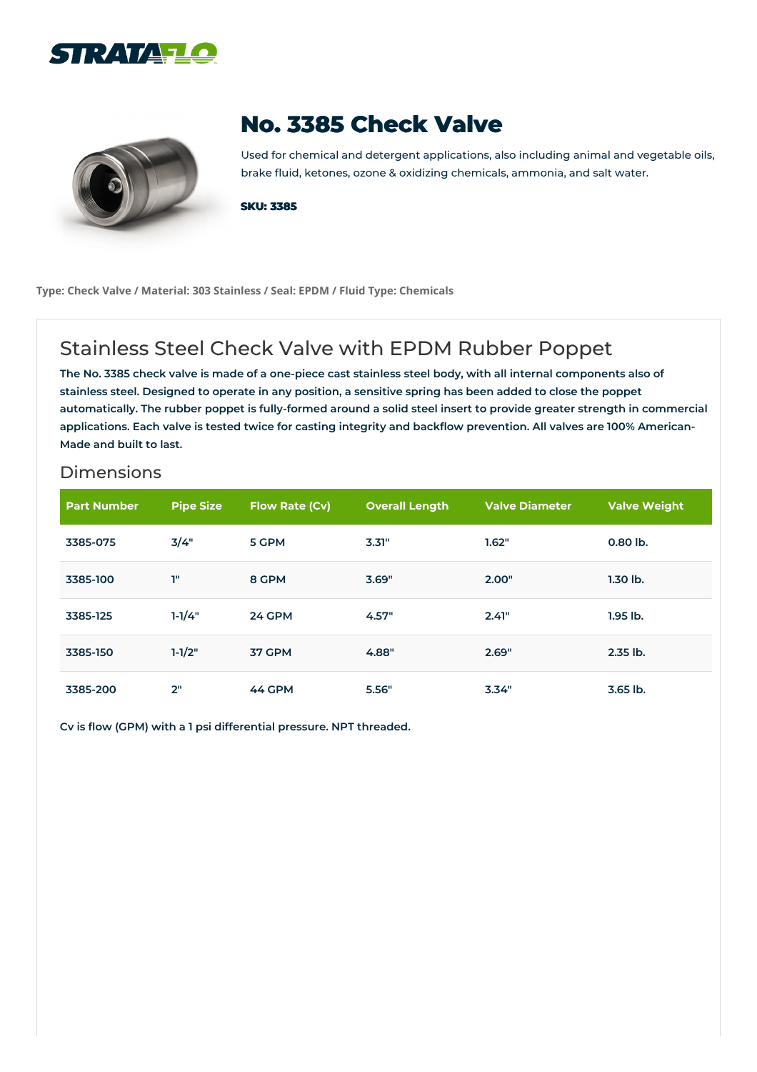



## **No. 3385 Check Valve**

Used for chemical and detergent applications, also including animal and vegetable oils, brake fluid, ketones, ozone & oxidizing chemicals, ammonia, and salt water.

**SKU: 3385**

**Type: Check Valve / Material: 303 Stainless / Seal: EPDM / Fluid Type: Chemicals**

## Stainless Steel Check Valve with EPDM Rubber Poppet

The No. 3385 check valve is made of a one-piece cast stainless steel body, with all internal components also of stainless steel. Designed to operate in any position, a sensitive spring has been added to close the poppet automatically. The rubber poppet is fully-formed around a solid steel insert to provide greater strength in commercial applications. Each valve is tested twice for casting integrity and backflow prevention. All valves are 100% American-**Made and built to last.**

## Dimensions

| <b>Part Number</b> | <b>Pipe Size</b> | <b>Flow Rate (Cv)</b> | <b>Overall Length</b> | <b>Valve Diameter</b> | <b>Valve Weight</b> |
|--------------------|------------------|-----------------------|-----------------------|-----------------------|---------------------|
| 3385-075           | 3/4"             | 5 GPM                 | 3.31"                 | 1.62"                 | $0.80$ lb.          |
| 3385-100           | T"               | 8 GPM                 | 3.69"                 | 2.00"                 | $1.30$ lb.          |
| 3385-125           | $1 - 1/4"$       | 24 GPM                | 4.57"                 | 2.41"                 | $1.95$ lb.          |
| 3385-150           | $1 - 1/2"$       | 37 GPM                | 4.88"                 | 2.69"                 | 2.35 lb.            |
| 3385-200           | 2"               | 44 GPM                | 5.56"                 | 3.34"                 | $3.65$ lb.          |

**Cv is flow (GPM) with a 1 psi differential pressure. NPT threaded.**